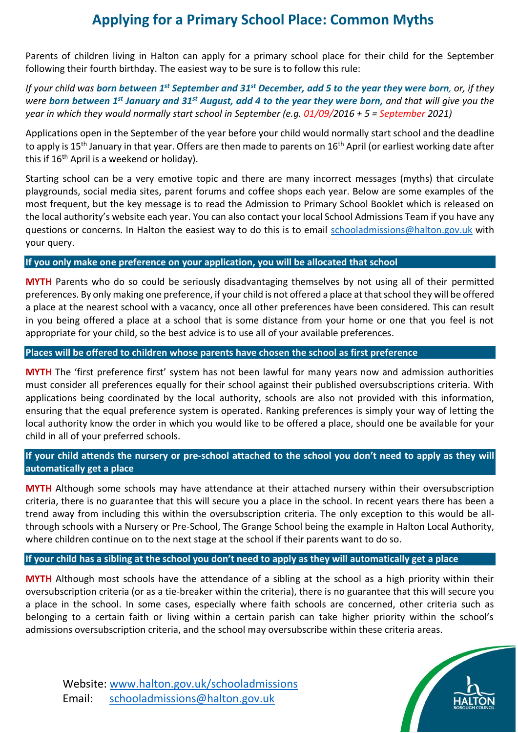## **Applying for a Primary School Place: Common Myths**

Parents of children living in Halton can apply for a primary school place for their child for the September following their fourth birthday. The easiest way to be sure is to follow this rule:

*If your child was born between 1st September and 31st December, add 5 to the year they were born, or, if they were born between 1st January and 31st August, add 4 to the year they were born, and that will give you the year in which they would normally start school in September (e.g. 01/09/2016 + 5 = September 2021)*

Applications open in the September of the year before your child would normally start school and the deadline to apply is 15<sup>th</sup> January in that year. Offers are then made to parents on 16<sup>th</sup> April (or earliest working date after this if 16<sup>th</sup> April is a weekend or holidav).

Starting school can be a very emotive topic and there are many incorrect messages (myths) that circulate playgrounds, social media sites, parent forums and coffee shops each year. Below are some examples of the most frequent, but the key message is to read the Admission to Primary School Booklet which is released on the local authority's website each year. You can also contact your local School Admissions Team if you have any questions or concerns. In Halton the easiest way to do this is to email [schooladmissions@halton.gov.uk](mailto:schooladmissions@halton.gov.uk) with your query.

#### **If you only make one preference on your application, you will be allocated that school**

**MYTH** Parents who do so could be seriously disadvantaging themselves by not using all of their permitted preferences. By only making one preference, if your child is not offered a place at that school they will be offered a place at the nearest school with a vacancy, once all other preferences have been considered. This can result in you being offered a place at a school that is some distance from your home or one that you feel is not appropriate for your child, so the best advice is to use all of your available preferences.

#### **Places will be offered to children whose parents have chosen the school as first preference**

**MYTH** The 'first preference first' system has not been lawful for many years now and admission authorities must consider all preferences equally for their school against their published oversubscriptions criteria. With applications being coordinated by the local authority, schools are also not provided with this information, ensuring that the equal preference system is operated. Ranking preferences is simply your way of letting the local authority know the order in which you would like to be offered a place, should one be available for your child in all of your preferred schools.

## **If your child attends the nursery or pre-school attached to the school you don't need to apply as they will automatically get a place**

**MYTH** Although some schools may have attendance at their attached nursery within their oversubscription criteria, there is no guarantee that this will secure you a place in the school. In recent years there has been a trend away from including this within the oversubscription criteria. The only exception to this would be allthrough schools with a Nursery or Pre-School, The Grange School being the example in Halton Local Authority, where children continue on to the next stage at the school if their parents want to do so.

**If your child has a sibling at the school you don't need to apply as they will automatically get a place**

**MYTH** Although most schools have the attendance of a sibling at the school as a high priority within their oversubscription criteria (or as a tie-breaker within the criteria), there is no guarantee that this will secure you a place in the school. In some cases, especially where faith schools are concerned, other criteria such as belonging to a certain faith or living within a certain parish can take higher priority within the school's admissions oversubscription criteria, and the school may oversubscribe within these criteria areas.